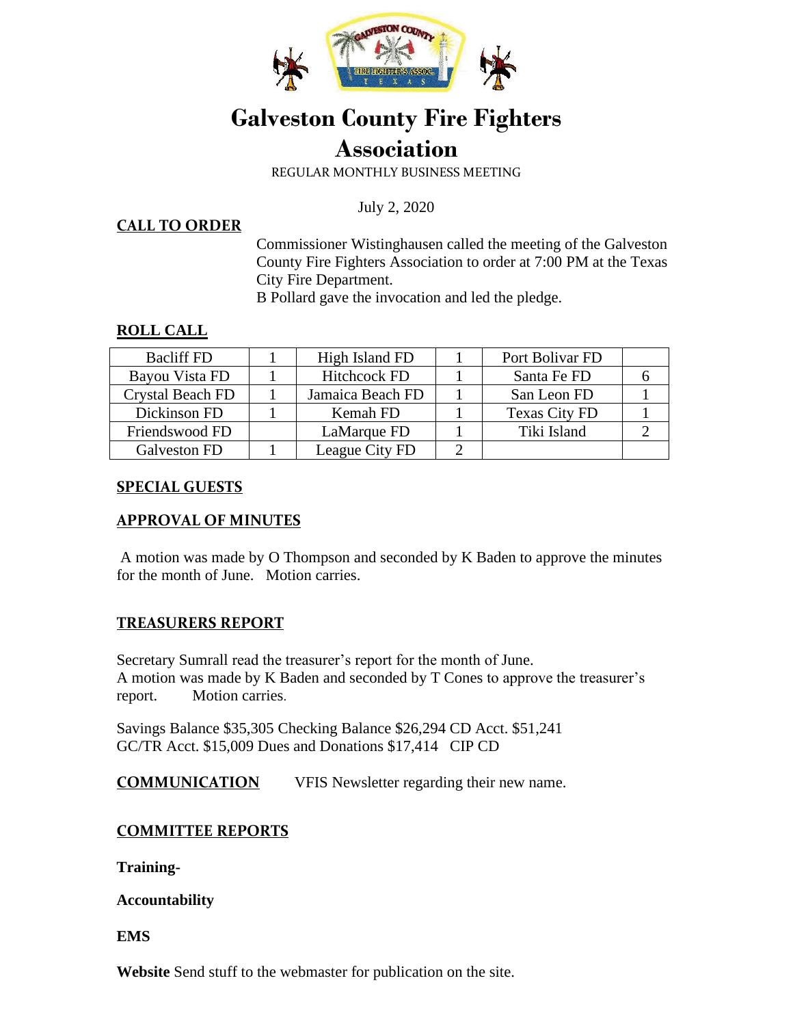

# **Galveston County Fire Fighters Association**

REGULAR MONTHLY BUSINESS MEETING

July 2, 2020

#### **CALL TO ORDER**

Commissioner Wistinghausen called the meeting of the Galveston County Fire Fighters Association to order at 7:00 PM at the Texas City Fire Department.

B Pollard gave the invocation and led the pledge.

### **ROLL CALL**

| <b>Bacliff FD</b> | High Island FD      | Port Bolivar FD      |  |
|-------------------|---------------------|----------------------|--|
| Bayou Vista FD    | <b>Hitchcock FD</b> | Santa Fe FD          |  |
| Crystal Beach FD  | Jamaica Beach FD    | San Leon FD          |  |
| Dickinson FD      | Kemah FD            | <b>Texas City FD</b> |  |
| Friendswood FD    | LaMarque FD         | Tiki Island          |  |
| Galveston FD      | League City FD      |                      |  |

### **SPECIAL GUESTS**

### **APPROVAL OF MINUTES**

A motion was made by O Thompson and seconded by K Baden to approve the minutes for the month of June. Motion carries.

### **TREASURERS REPORT**

Secretary Sumrall read the treasurer's report for the month of June. A motion was made by K Baden and seconded by T Cones to approve the treasurer's report. Motion carries.

Savings Balance \$35,305 Checking Balance \$26,294 CD Acct. \$51,241 GC/TR Acct. \$15,009 Dues and Donations \$17,414 CIP CD

**COMMUNICATION** VFIS Newsletter regarding their new name.

### **COMMITTEE REPORTS**

**Training-**

**Accountability** 

**EMS** 

**Website** Send stuff to the webmaster for publication on the site.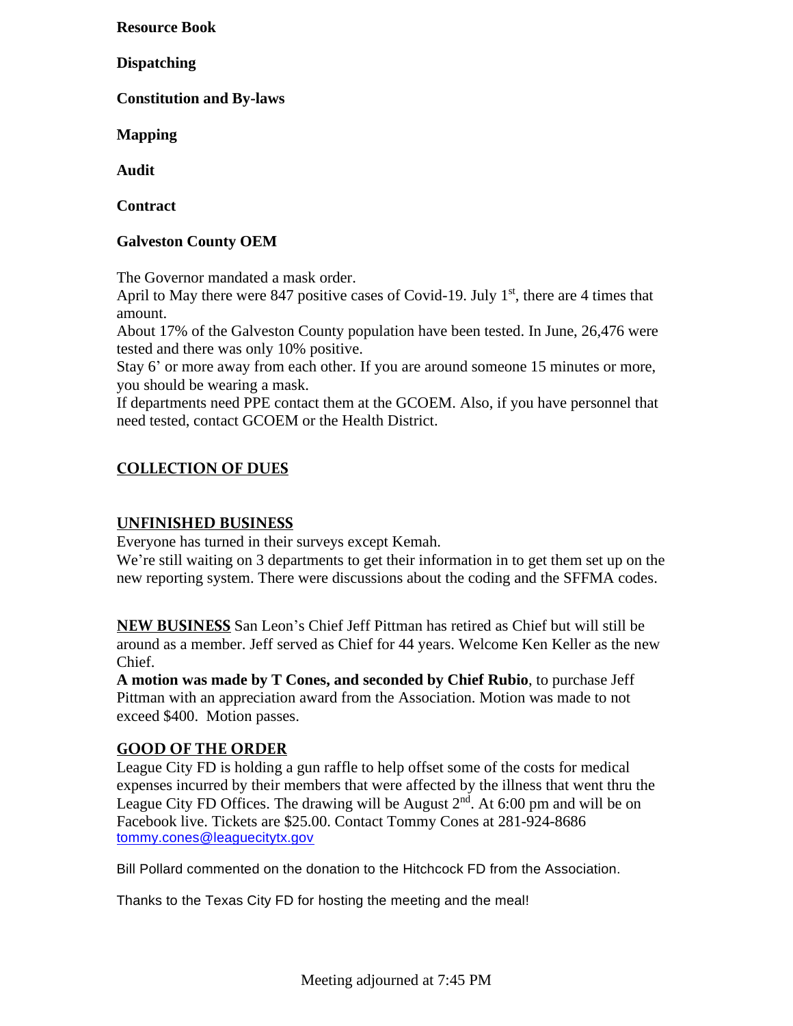**Resource Book** 

**Dispatching** 

**Constitution and By-laws** 

**Mapping** 

**Audit** 

**Contract** 

### **Galveston County OEM**

The Governor mandated a mask order.

April to May there were 847 positive cases of Covid-19. July  $1<sup>st</sup>$ , there are 4 times that amount.

About 17% of the Galveston County population have been tested. In June, 26,476 were tested and there was only 10% positive.

Stay 6' or more away from each other. If you are around someone 15 minutes or more, you should be wearing a mask.

If departments need PPE contact them at the GCOEM. Also, if you have personnel that need tested, contact GCOEM or the Health District.

### **COLLECTION OF DUES**

### **UNFINISHED BUSINESS**

Everyone has turned in their surveys except Kemah.

We're still waiting on 3 departments to get their information in to get them set up on the new reporting system. There were discussions about the coding and the SFFMA codes.

**NEW BUSINESS** San Leon's Chief Jeff Pittman has retired as Chief but will still be around as a member. Jeff served as Chief for 44 years. Welcome Ken Keller as the new Chief.

**A motion was made by T Cones, and seconded by Chief Rubio**, to purchase Jeff Pittman with an appreciation award from the Association. Motion was made to not exceed \$400. Motion passes.

### **GOOD OF THE ORDER**

League City FD is holding a gun raffle to help offset some of the costs for medical expenses incurred by their members that were affected by the illness that went thru the League City FD Offices. The drawing will be August  $2<sup>nd</sup>$ . At 6:00 pm and will be on Facebook live. Tickets are \$25.00. Contact Tommy Cones at 281-924-8686 [tommy.cones@leaguecitytx.gov](mailto:tommy.cones@leaguecitytx.gov)

Bill Pollard commented on the donation to the Hitchcock FD from the Association.

Thanks to the Texas City FD for hosting the meeting and the meal!